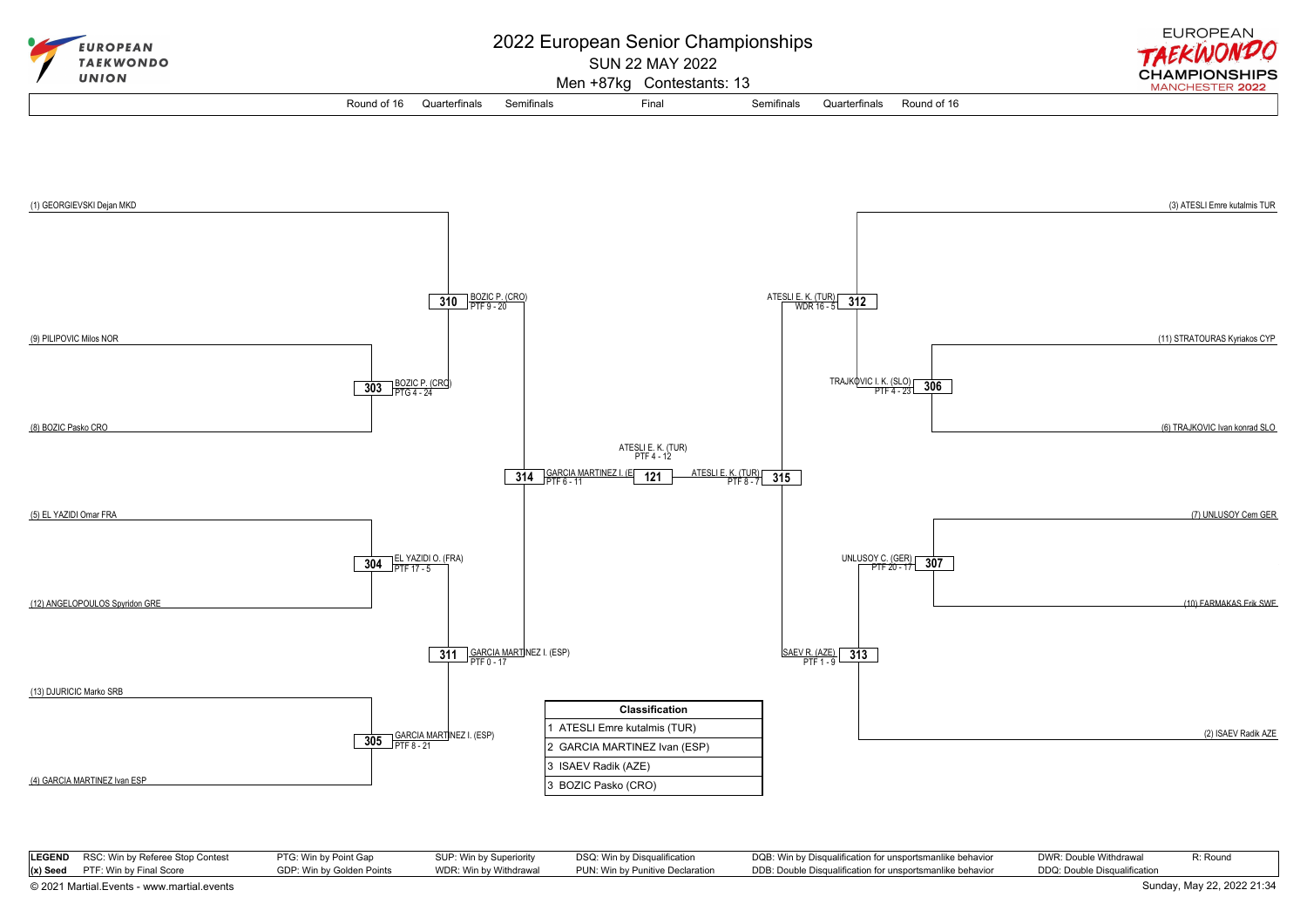

| <b>LEGEND</b> RSC: Win by Referee Stop Contest | PTG: Win by Point Gap     | SUP: Win by Superiority | DSQ: Win by Disqualification     | DQB: Win by Disqualification for unsportsmanlike behavior | DWR: Double Withdrawal       | R: Round                   |
|------------------------------------------------|---------------------------|-------------------------|----------------------------------|-----------------------------------------------------------|------------------------------|----------------------------|
| $(x)$ Seed PTF: Win by Final Score             | GDP: Win by Golden Points | WDR: Win by Withdrawal  | PUN: Win by Punitive Declaration | DDB: Double Disqualification for unsportsmanlike behavior | DDQ: Double Disqualification |                            |
| © 2021 Martial.Events - www.martial.events     |                           |                         |                                  |                                                           |                              | Sunday, May 22, 2022 21:34 |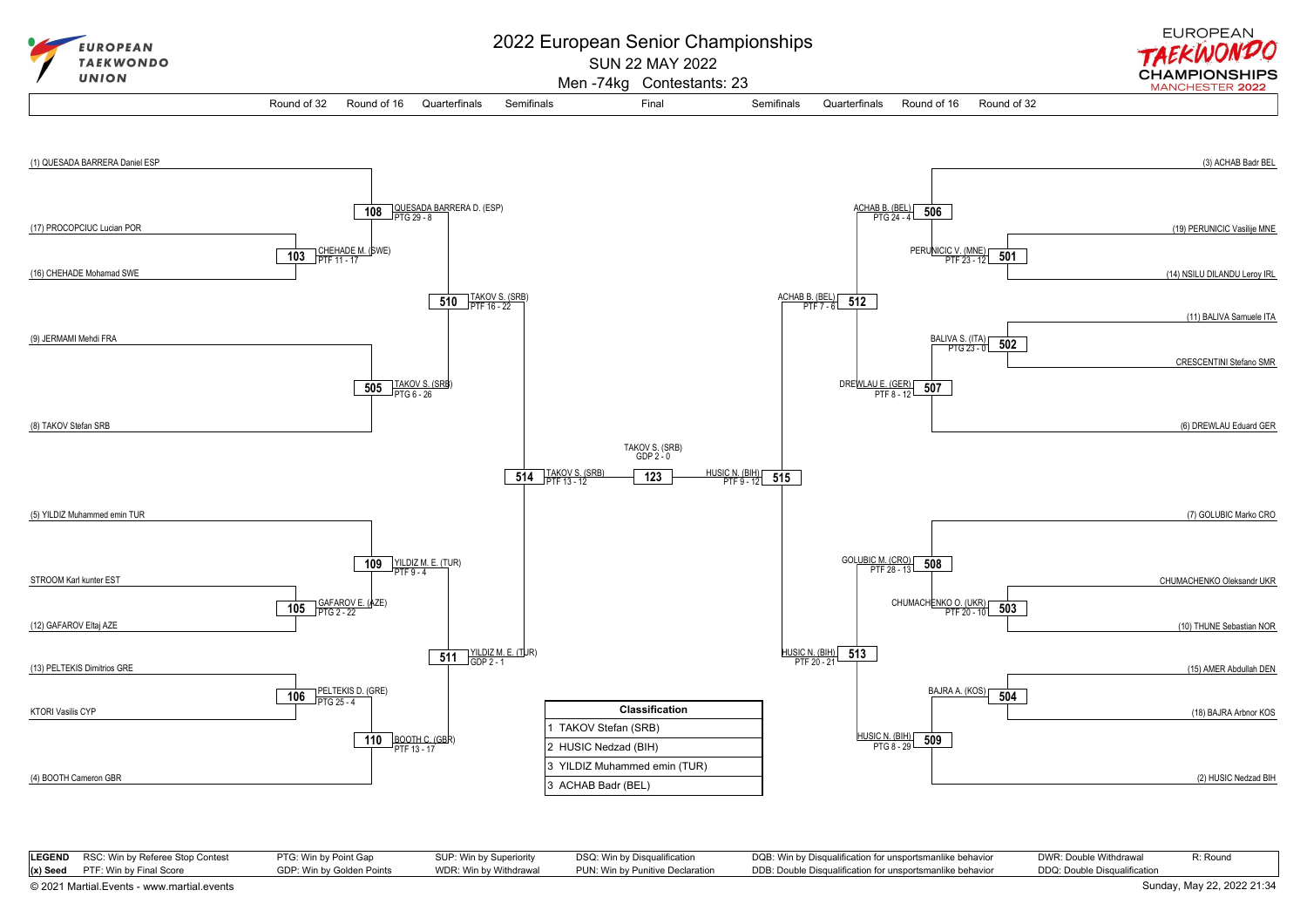

| <b>LEGEND</b> RSC: Win by Referee Stop Contest | PTG: Win by Point Gap     | SUP: Win by Superiority | DSQ: Win by Disqualification     | DQB: Win by Disqualification for unsportsmanlike behavior | DWR: Double Withdrawal       | R: Round |
|------------------------------------------------|---------------------------|-------------------------|----------------------------------|-----------------------------------------------------------|------------------------------|----------|
| $(x)$ Seed PTF: Win by Final Score             | GDP: Win by Golden Points | WDR: Win by Withdrawal  | PUN: Win by Punitive Declaration | DDB: Double Disqualification for unsportsmanlike behavior | DDQ: Double Disqualification |          |

[© 2021 Martial.Events - www.martial.events](https://www.martial.events) Sunday, May 22, 2022 21:34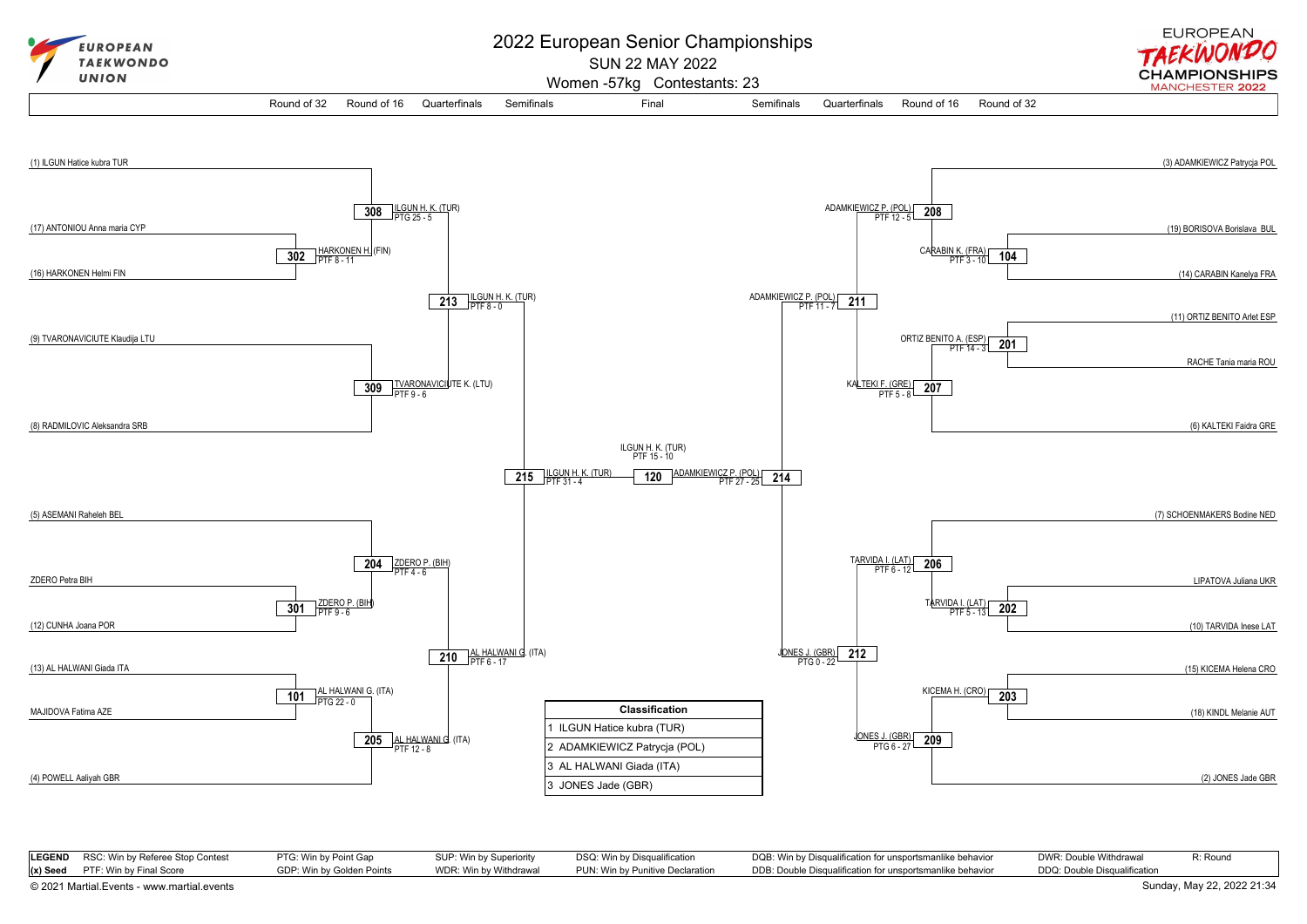

| LEGEND RSC: Win by Referee Stop Contest | PTG: Win by Point Gap     | SUP: Win by Superiority | DSQ: Win by Disqualification     | DQB: Win by Disqualification for unsportsmanlike behavior | DWR: Double Withdrawal       | R: Round |
|-----------------------------------------|---------------------------|-------------------------|----------------------------------|-----------------------------------------------------------|------------------------------|----------|
| $(x)$ Seed PTF: Win by Final Score      | GDP: Win by Golden Points | WDR: Win by Withdrawal  | PUN: Win by Punitive Declaration | DDB: Double Disqualification for unsportsmanlike behavior | DDQ: Double Disqualification |          |